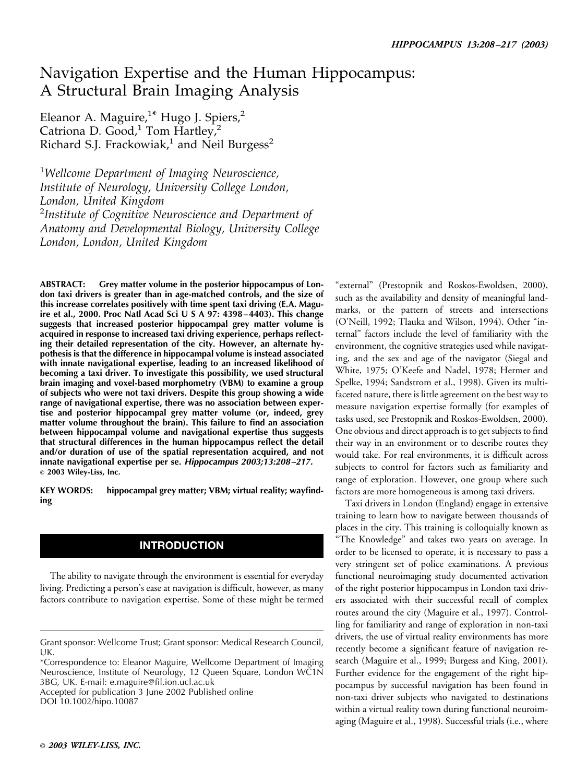# Navigation Expertise and the Human Hippocampus: A Structural Brain Imaging Analysis

Eleanor A. Maguire,<sup>1\*</sup> Hugo J. Spiers,<sup>2</sup> Catriona D. Good, $1$  Tom Hartley, $2$ Richard S.J. Frackowiak,<sup>1</sup> and Neil Burgess<sup>2</sup>

1 *Wellcome Department of Imaging Neuroscience, Institute of Neurology, University College London, London, United Kingdom* 2 *Institute of Cognitive Neuroscience and Department of Anatomy and Developmental Biology, University College London, London, United Kingdom*

**ABSTRACT: Grey matter volume in the posterior hippocampus of London taxi drivers is greater than in age-matched controls, and the size of this increase correlates positively with time spent taxi driving (E.A. Maguire et al., 2000. Proc Natl Acad Sci U S A 97: 4398 – 4403). This change suggests that increased posterior hippocampal grey matter volume is acquired in response to increased taxi driving experience, perhaps reflecting their detailed representation of the city. However, an alternate hypothesis is that the difference in hippocampal volume is instead associated with innate navigational expertise, leading to an increased likelihood of becoming a taxi driver. To investigate this possibility, we used structural brain imaging and voxel-based morphometry (VBM) to examine a group of subjects who were not taxi drivers. Despite this group showing a wide range of navigational expertise, there was no association between expertise and posterior hippocampal grey matter volume (or, indeed, grey matter volume throughout the brain). This failure to find an association between hippocampal volume and navigational expertise thus suggests that structural differences in the human hippocampus reflect the detail and/or duration of use of the spatial representation acquired, and not innate navigational expertise per se.** *Hippocampus 2003;13:208 –217.* © **2003 Wiley-Liss, Inc.**

**KEY WORDS: hippocampal grey matter; VBM; virtual reality; wayfinding**

## **INTRODUCTION**

The ability to navigate through the environment is essential for everyday living. Predicting a person's ease at navigation is difficult, however, as many factors contribute to navigation expertise. Some of these might be termed

Accepted for publication 3 June 2002 Published online DOI 10.1002/hipo.10087

"external" (Prestopnik and Roskos-Ewoldsen, 2000), such as the availability and density of meaningful landmarks, or the pattern of streets and intersections (O'Neill, 1992; Tlauka and Wilson, 1994). Other "internal" factors include the level of familiarity with the environment, the cognitive strategies used while navigating, and the sex and age of the navigator (Siegal and White, 1975; O'Keefe and Nadel, 1978; Hermer and Spelke, 1994; Sandstrom et al., 1998). Given its multifaceted nature, there is little agreement on the best way to measure navigation expertise formally (for examples of tasks used, see Prestopnik and Roskos-Ewoldsen, 2000). One obvious and direct approach is to get subjects to find their way in an environment or to describe routes they would take. For real environments, it is difficult across subjects to control for factors such as familiarity and range of exploration. However, one group where such factors are more homogeneous is among taxi drivers.

Taxi drivers in London (England) engage in extensive training to learn how to navigate between thousands of places in the city. This training is colloquially known as "The Knowledge" and takes two years on average. In order to be licensed to operate, it is necessary to pass a very stringent set of police examinations. A previous functional neuroimaging study documented activation of the right posterior hippocampus in London taxi drivers associated with their successful recall of complex routes around the city (Maguire et al., 1997). Controlling for familiarity and range of exploration in non-taxi drivers, the use of virtual reality environments has more recently become a significant feature of navigation research (Maguire et al., 1999; Burgess and King, 2001). Further evidence for the engagement of the right hippocampus by successful navigation has been found in non-taxi driver subjects who navigated to destinations within a virtual reality town during functional neuroimaging (Maguire et al., 1998). Successful trials (i.e., where

Grant sponsor: Wellcome Trust; Grant sponsor: Medical Research Council, UK.

<sup>\*</sup>Correspondence to: Eleanor Maguire, Wellcome Department of Imaging Neuroscience, Institute of Neurology, 12 Queen Square, London WC1N 3BG, UK. E-mail: e.maguire@fil.ion.ucl.ac.uk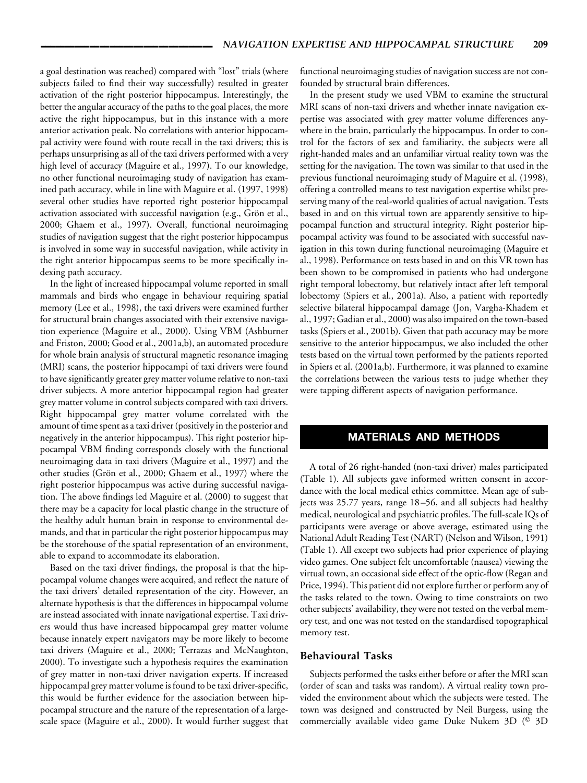a goal destination was reached) compared with "lost" trials (where subjects failed to find their way successfully) resulted in greater activation of the right posterior hippocampus. Interestingly, the better the angular accuracy of the paths to the goal places, the more active the right hippocampus, but in this instance with a more anterior activation peak. No correlations with anterior hippocampal activity were found with route recall in the taxi drivers; this is perhaps unsurprising as all of the taxi drivers performed with a very high level of accuracy (Maguire et al., 1997). To our knowledge, no other functional neuroimaging study of navigation has examined path accuracy, while in line with Maguire et al. (1997, 1998) several other studies have reported right posterior hippocampal activation associated with successful navigation (e.g., Grön et al., 2000; Ghaem et al., 1997). Overall, functional neuroimaging studies of navigation suggest that the right posterior hippocampus is involved in some way in successful navigation, while activity in the right anterior hippocampus seems to be more specifically indexing path accuracy.

In the light of increased hippocampal volume reported in small mammals and birds who engage in behaviour requiring spatial memory (Lee et al., 1998), the taxi drivers were examined further for structural brain changes associated with their extensive navigation experience (Maguire et al., 2000). Using VBM (Ashburner and Friston, 2000; Good et al., 2001a,b), an automated procedure for whole brain analysis of structural magnetic resonance imaging (MRI) scans, the posterior hippocampi of taxi drivers were found to have significantly greater grey matter volume relative to non-taxi driver subjects. A more anterior hippocampal region had greater grey matter volume in control subjects compared with taxi drivers. Right hippocampal grey matter volume correlated with the amount of time spent as a taxi driver (positively in the posterior and negatively in the anterior hippocampus). This right posterior hippocampal VBM finding corresponds closely with the functional neuroimaging data in taxi drivers (Maguire et al., 1997) and the other studies (Grön et al., 2000; Ghaem et al., 1997) where the right posterior hippocampus was active during successful navigation. The above findings led Maguire et al. (2000) to suggest that there may be a capacity for local plastic change in the structure of the healthy adult human brain in response to environmental demands, and that in particular the right posterior hippocampus may be the storehouse of the spatial representation of an environment, able to expand to accommodate its elaboration.

Based on the taxi driver findings, the proposal is that the hippocampal volume changes were acquired, and reflect the nature of the taxi drivers' detailed representation of the city. However, an alternate hypothesis is that the differences in hippocampal volume are instead associated with innate navigational expertise. Taxi drivers would thus have increased hippocampal grey matter volume because innately expert navigators may be more likely to become taxi drivers (Maguire et al., 2000; Terrazas and McNaughton, 2000). To investigate such a hypothesis requires the examination of grey matter in non-taxi driver navigation experts. If increased hippocampal grey matter volume is found to be taxi driver-specific, this would be further evidence for the association between hippocampal structure and the nature of the representation of a largescale space (Maguire et al., 2000). It would further suggest that functional neuroimaging studies of navigation success are not confounded by structural brain differences.

In the present study we used VBM to examine the structural MRI scans of non-taxi drivers and whether innate navigation expertise was associated with grey matter volume differences anywhere in the brain, particularly the hippocampus. In order to control for the factors of sex and familiarity, the subjects were all right-handed males and an unfamiliar virtual reality town was the setting for the navigation. The town was similar to that used in the previous functional neuroimaging study of Maguire et al. (1998), offering a controlled means to test navigation expertise whilst preserving many of the real-world qualities of actual navigation. Tests based in and on this virtual town are apparently sensitive to hippocampal function and structural integrity. Right posterior hippocampal activity was found to be associated with successful navigation in this town during functional neuroimaging (Maguire et al., 1998). Performance on tests based in and on this VR town has been shown to be compromised in patients who had undergone right temporal lobectomy, but relatively intact after left temporal lobectomy (Spiers et al., 2001a). Also, a patient with reportedly selective bilateral hippocampal damage (Jon, Vargha-Khadem et al., 1997; Gadian et al., 2000) was also impaired on the town-based tasks (Spiers et al., 2001b). Given that path accuracy may be more sensitive to the anterior hippocampus, we also included the other tests based on the virtual town performed by the patients reported in Spiers et al. (2001a,b). Furthermore, it was planned to examine the correlations between the various tests to judge whether they were tapping different aspects of navigation performance.

## **MATERIALS AND METHODS**

A total of 26 right-handed (non-taxi driver) males participated (Table 1). All subjects gave informed written consent in accordance with the local medical ethics committee. Mean age of subjects was 25.77 years, range 18 –56, and all subjects had healthy medical, neurological and psychiatric profiles. The full-scale IQs of participants were average or above average, estimated using the National Adult Reading Test (NART) (Nelson and Wilson, 1991) (Table 1). All except two subjects had prior experience of playing video games. One subject felt uncomfortable (nausea) viewing the virtual town, an occasional side effect of the optic-flow (Regan and Price, 1994). This patient did not explore further or perform any of the tasks related to the town. Owing to time constraints on two other subjects' availability, they were not tested on the verbal memory test, and one was not tested on the standardised topographical memory test.

## **Behavioural Tasks**

Subjects performed the tasks either before or after the MRI scan (order of scan and tasks was random). A virtual reality town provided the environment about which the subjects were tested. The town was designed and constructed by Neil Burgess, using the commercially available video game Duke Nukem 3D (<sup>©</sup> 3D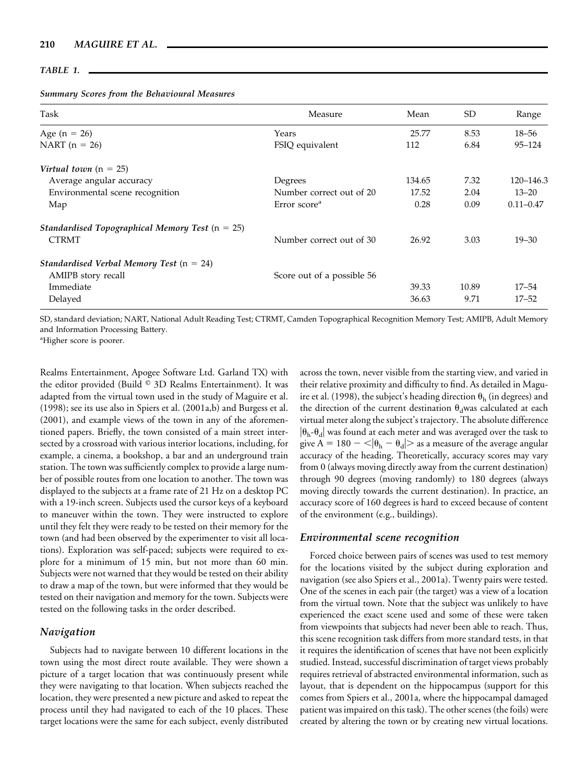| 'A BI |  |
|-------|--|
|-------|--|

|  |  | <b>Summary Scores from the Behavioural Measures</b> |  |
|--|--|-----------------------------------------------------|--|
|  |  |                                                     |  |

| Task                                              | Measure                    | Mean   | <b>SD</b> | Range         |
|---------------------------------------------------|----------------------------|--------|-----------|---------------|
| Age ( $n = 26$ )                                  | Years                      | 25.77  | 8.53      | $18 - 56$     |
| NART $(n = 26)$                                   | FSIQ equivalent            | 112    | 6.84      | $95 - 124$    |
| Virtual town $(n = 25)$                           |                            |        |           |               |
| Average angular accuracy                          | Degrees                    | 134.65 | 7.32      | 120-146.3     |
| Environmental scene recognition                   | Number correct out of 20   | 17.52  | 2.04      | $13 - 20$     |
| Map                                               | Error score <sup>a</sup>   | 0.28   | 0.09      | $0.11 - 0.47$ |
| Standardised Topographical Memory Test $(n = 25)$ |                            |        |           |               |
| <b>CTRMT</b>                                      | Number correct out of 30   | 26.92  | 3.03      | $19 - 30$     |
| Standardised Verbal Memory Test $(n = 24)$        |                            |        |           |               |
| AMIPB story recall                                | Score out of a possible 56 |        |           |               |
| Immediate                                         |                            | 39.33  | 10.89     | $17 - 54$     |
| Delayed                                           |                            | 36.63  | 9.71      | $17 - 52$     |

SD, standard deviation; NART, National Adult Reading Test; CTRMT, Camden Topographical Recognition Memory Test; AMIPB, Adult Memory and Information Processing Battery.

a Higher score is poorer.

Realms Entertainment, Apogee Software Ltd. Garland TX) with the editor provided (Build <sup>©</sup> 3D Realms Entertainment). It was adapted from the virtual town used in the study of Maguire et al. (1998); see its use also in Spiers et al. (2001a,b) and Burgess et al. (2001), and example views of the town in any of the aforementioned papers. Briefly, the town consisted of a main street intersected by a crossroad with various interior locations, including, for example, a cinema, a bookshop, a bar and an underground train station. The town was sufficiently complex to provide a large number of possible routes from one location to another. The town was displayed to the subjects at a frame rate of 21 Hz on a desktop PC with a 19-inch screen. Subjects used the cursor keys of a keyboard to maneuver within the town. They were instructed to explore until they felt they were ready to be tested on their memory for the town (and had been observed by the experimenter to visit all locations). Exploration was self-paced; subjects were required to explore for a minimum of 15 min, but not more than 60 min. Subjects were not warned that they would be tested on their ability to draw a map of the town, but were informed that they would be tested on their navigation and memory for the town. Subjects were tested on the following tasks in the order described.

## *Navigation*

Subjects had to navigate between 10 different locations in the town using the most direct route available. They were shown a picture of a target location that was continuously present while they were navigating to that location. When subjects reached the location, they were presented a new picture and asked to repeat the process until they had navigated to each of the 10 places. These target locations were the same for each subject, evenly distributed

across the town, never visible from the starting view, and varied in their relative proximity and difficulty to find. As detailed in Maguire et al. (1998), the subject's heading direction  $\theta_h$  (in degrees) and the direction of the current destination  $\theta_d$ was calculated at each virtual meter along the subject's trajectory. The absolute difference  $\left|\theta_{h}-\theta_{d}\right|$  was found at each meter and was averaged over the task to give A = 180  $-<$   $|\theta_h - \theta_d|$  > as a measure of the average angular accuracy of the heading. Theoretically, accuracy scores may vary from 0 (always moving directly away from the current destination) through 90 degrees (moving randomly) to 180 degrees (always moving directly towards the current destination). In practice, an accuracy score of 160 degrees is hard to exceed because of content of the environment (e.g., buildings).

## *Environmental scene recognition*

Forced choice between pairs of scenes was used to test memory for the locations visited by the subject during exploration and navigation (see also Spiers et al., 2001a). Twenty pairs were tested. One of the scenes in each pair (the target) was a view of a location from the virtual town. Note that the subject was unlikely to have experienced the exact scene used and some of these were taken from viewpoints that subjects had never been able to reach. Thus, this scene recognition task differs from more standard tests, in that it requires the identification of scenes that have not been explicitly studied. Instead, successful discrimination of target views probably requires retrieval of abstracted environmental information, such as layout, that is dependent on the hippocampus (support for this comes from Spiers et al., 2001a, where the hippocampal damaged patient was impaired on this task). The other scenes (the foils) were created by altering the town or by creating new virtual locations.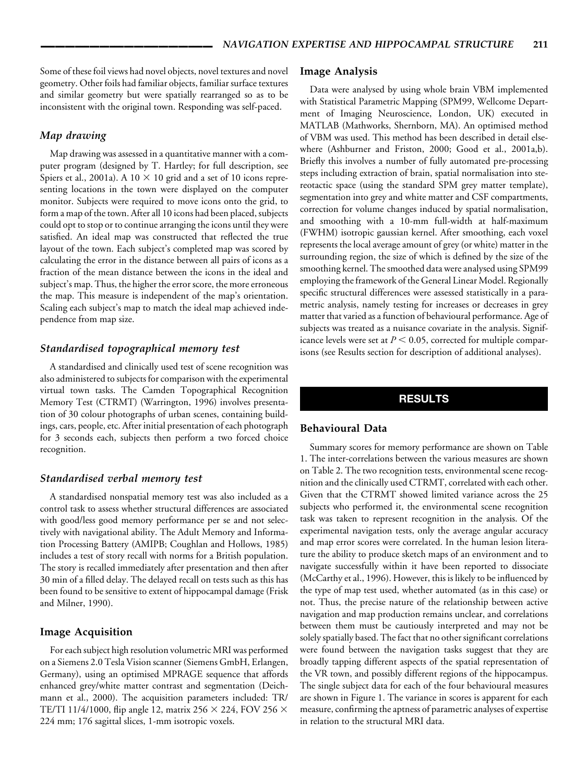Some of these foil views had novel objects, novel textures and novel geometry. Other foils had familiar objects, familiar surface textures and similar geometry but were spatially rearranged so as to be inconsistent with the original town. Responding was self-paced.

## *Map drawing*

Map drawing was assessed in a quantitative manner with a computer program (designed by T. Hartley; for full description, see Spiers et al., 2001a). A 10  $\times$  10 grid and a set of 10 icons representing locations in the town were displayed on the computer monitor. Subjects were required to move icons onto the grid, to form a map of the town. After all 10 icons had been placed, subjects could opt to stop or to continue arranging the icons until they were satisfied. An ideal map was constructed that reflected the true layout of the town. Each subject's completed map was scored by calculating the error in the distance between all pairs of icons as a fraction of the mean distance between the icons in the ideal and subject's map. Thus, the higher the error score, the more erroneous the map. This measure is independent of the map's orientation. Scaling each subject's map to match the ideal map achieved independence from map size.

## *Standardised topographical memory test*

A standardised and clinically used test of scene recognition was also administered to subjects for comparison with the experimental virtual town tasks. The Camden Topographical Recognition Memory Test (CTRMT) (Warrington, 1996) involves presentation of 30 colour photographs of urban scenes, containing buildings, cars, people, etc. After initial presentation of each photograph for 3 seconds each, subjects then perform a two forced choice recognition.

### *Standardised verbal memory test*

A standardised nonspatial memory test was also included as a control task to assess whether structural differences are associated with good/less good memory performance per se and not selectively with navigational ability. The Adult Memory and Information Processing Battery (AMIPB; Coughlan and Hollows, 1985) includes a test of story recall with norms for a British population. The story is recalled immediately after presentation and then after 30 min of a filled delay. The delayed recall on tests such as this has been found to be sensitive to extent of hippocampal damage (Frisk and Milner, 1990).

## **Image Acquisition**

For each subject high resolution volumetric MRI was performed on a Siemens 2.0 Tesla Vision scanner (Siemens GmbH, Erlangen, Germany), using an optimised MPRAGE sequence that affords enhanced grey/white matter contrast and segmentation (Deichmann et al., 2000). The acquisition parameters included: TR/ TE/TI 11/4/1000, flip angle 12, matrix 256  $\times$  224, FOV 256  $\times$ 224 mm; 176 sagittal slices, 1-mm isotropic voxels.

### **Image Analysis**

Data were analysed by using whole brain VBM implemented with Statistical Parametric Mapping (SPM99, Wellcome Department of Imaging Neuroscience, London, UK) executed in MATLAB (Mathworks, Shernborn, MA). An optimised method of VBM was used. This method has been described in detail elsewhere (Ashburner and Friston, 2000; Good et al., 2001a,b). Briefly this involves a number of fully automated pre-processing steps including extraction of brain, spatial normalisation into stereotactic space (using the standard SPM grey matter template), segmentation into grey and white matter and CSF compartments, correction for volume changes induced by spatial normalisation, and smoothing with a 10-mm full-width at half-maximum (FWHM) isotropic gaussian kernel. After smoothing, each voxel represents the local average amount of grey (or white) matter in the surrounding region, the size of which is defined by the size of the smoothing kernel. The smoothed data were analysed using SPM99 employing the framework of the General Linear Model. Regionally specific structural differences were assessed statistically in a parametric analysis, namely testing for increases or decreases in grey matter that varied as a function of behavioural performance. Age of subjects was treated as a nuisance covariate in the analysis. Significance levels were set at  $P < 0.05$ , corrected for multiple comparisons (see Results section for description of additional analyses).

## **RESULTS**

### **Behavioural Data**

Summary scores for memory performance are shown on Table 1. The inter-correlations between the various measures are shown on Table 2. The two recognition tests, environmental scene recognition and the clinically used CTRMT, correlated with each other. Given that the CTRMT showed limited variance across the 25 subjects who performed it, the environmental scene recognition task was taken to represent recognition in the analysis. Of the experimental navigation tests, only the average angular accuracy and map error scores were correlated. In the human lesion literature the ability to produce sketch maps of an environment and to navigate successfully within it have been reported to dissociate (McCarthy et al., 1996). However, this is likely to be influenced by the type of map test used, whether automated (as in this case) or not. Thus, the precise nature of the relationship between active navigation and map production remains unclear, and correlations between them must be cautiously interpreted and may not be solely spatially based. The fact that no other significant correlations were found between the navigation tasks suggest that they are broadly tapping different aspects of the spatial representation of the VR town, and possibly different regions of the hippocampus. The single subject data for each of the four behavioural measures are shown in Figure 1. The variance in scores is apparent for each measure, confirming the aptness of parametric analyses of expertise in relation to the structural MRI data.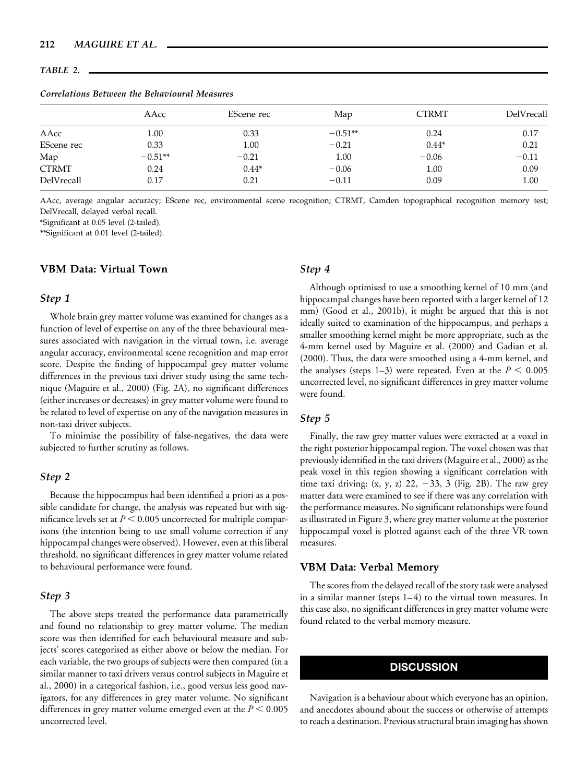#### *TABLE 2.*

## *Correlations Between the Behavioural Measures*

|              | AAcc      | EScene rec | Map       | <b>CTRMT</b> | DelVrecall |
|--------------|-----------|------------|-----------|--------------|------------|
| AAcc         | $1.00\,$  | 0.33       | $-0.51**$ | 0.24         | 0.17       |
| EScene rec   | 0.33      | 1.00       | $-0.21$   | $0.44*$      | 0.21       |
| Map          | $-0.51**$ | $-0.21$    | 1.00      | $-0.06$      | $-0.11$    |
| <b>CTRMT</b> | 0.24      | $0.44*$    | $-0.06$   | 1.00         | 0.09       |
| DelVrecall   | 0.17      | 0.21       | $-0.11$   | 0.09         | 1.00       |

AAcc, average angular accuracy; EScene rec, environmental scene recognition; CTRMT, Camden topographical recognition memory test; DelVrecall, delayed verbal recall.

\*Significant at 0.05 level (2-tailed).

\*\*Significant at 0.01 level (2-tailed).

## **VBM Data: Virtual Town**

### *Step 1*

Whole brain grey matter volume was examined for changes as a function of level of expertise on any of the three behavioural measures associated with navigation in the virtual town, i.e. average angular accuracy, environmental scene recognition and map error score. Despite the finding of hippocampal grey matter volume differences in the previous taxi driver study using the same technique (Maguire et al., 2000) (Fig. 2A), no significant differences (either increases or decreases) in grey matter volume were found to be related to level of expertise on any of the navigation measures in non-taxi driver subjects.

To minimise the possibility of false-negatives, the data were subjected to further scrutiny as follows.

## *Step 2*

Because the hippocampus had been identified a priori as a possible candidate for change, the analysis was repeated but with significance levels set at  $P$  < 0.005 uncorrected for multiple comparisons (the intention being to use small volume correction if any hippocampal changes were observed). However, even at this liberal threshold, no significant differences in grey matter volume related to behavioural performance were found.

## *Step 3*

The above steps treated the performance data parametrically and found no relationship to grey matter volume. The median score was then identified for each behavioural measure and subjects' scores categorised as either above or below the median. For each variable, the two groups of subjects were then compared (in a similar manner to taxi drivers versus control subjects in Maguire et al., 2000) in a categorical fashion, i.e., good versus less good navigators, for any differences in grey mater volume. No significant differences in grey matter volume emerged even at the  $P < 0.005$ uncorrected level.

## *Step 4*

Although optimised to use a smoothing kernel of 10 mm (and hippocampal changes have been reported with a larger kernel of 12 mm) (Good et al., 2001b), it might be argued that this is not ideally suited to examination of the hippocampus, and perhaps a smaller smoothing kernel might be more appropriate, such as the 4-mm kernel used by Maguire et al. (2000) and Gadian et al. (2000). Thus, the data were smoothed using a 4-mm kernel, and the analyses (steps 1–3) were repeated. Even at the  $P < 0.005$ uncorrected level, no significant differences in grey matter volume were found.

## *Step 5*

Finally, the raw grey matter values were extracted at a voxel in the right posterior hippocampal region. The voxel chosen was that previously identified in the taxi drivers (Maguire et al., 2000) as the peak voxel in this region showing a significant correlation with time taxi driving:  $(x, y, z)$  22,  $-33$ , 3 (Fig. 2B). The raw grey matter data were examined to see if there was any correlation with the performance measures. No significant relationships were found as illustrated in Figure 3, where grey matter volume at the posterior hippocampal voxel is plotted against each of the three VR town measures.

#### **VBM Data: Verbal Memory**

The scores from the delayed recall of the story task were analysed in a similar manner (steps  $1-4$ ) to the virtual town measures. In this case also, no significant differences in grey matter volume were found related to the verbal memory measure.

## **DISCUSSION**

Navigation is a behaviour about which everyone has an opinion, and anecdotes abound about the success or otherwise of attempts to reach a destination. Previous structural brain imaging has shown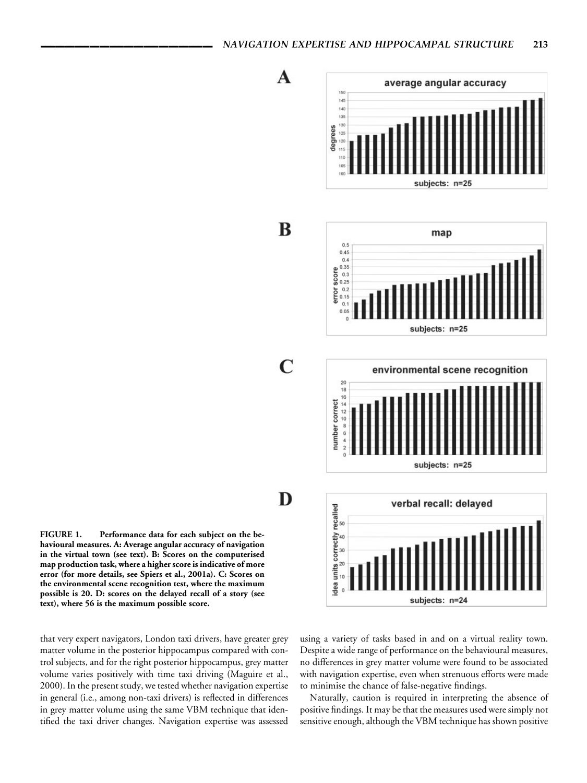





verbal recall: delayed

subjects: n=24



dea units correctly recalled<br> $\frac{8}{9}$   $\frac{8}{9}$   $\frac{8}{9}$ 

 $\blacktriangle$ 

B

 $\mathbf C$ 

**FIGURE 1. Performance data for each subject on the behavioural measures. A: Average angular accuracy of navigation in the virtual town (see text). B: Scores on the computerised map production task, where a higher score is indicative of more error (for more details, see Spiers et al., 2001a). C: Scores on the environmental scene recognition test, where the maximum possible is 20. D: scores on the delayed recall of a story (see text), where 56 is the maximum possible score.**

that very expert navigators, London taxi drivers, have greater grey matter volume in the posterior hippocampus compared with control subjects, and for the right posterior hippocampus, grey matter volume varies positively with time taxi driving (Maguire et al., 2000). In the present study, we tested whether navigation expertise in general (i.e., among non-taxi drivers) is reflected in differences in grey matter volume using the same VBM technique that identified the taxi driver changes. Navigation expertise was assessed

using a variety of tasks based in and on a virtual reality town. Despite a wide range of performance on the behavioural measures, no differences in grey matter volume were found to be associated with navigation expertise, even when strenuous efforts were made to minimise the chance of false-negative findings.

Naturally, caution is required in interpreting the absence of positive findings. It may be that the measures used were simply not sensitive enough, although the VBM technique has shown positive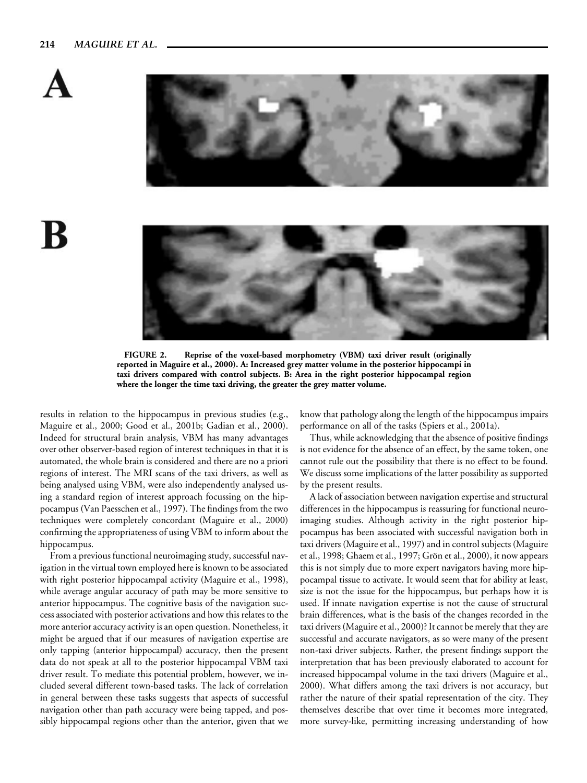



K



**FIGURE 2. Reprise of the voxel-based morphometry (VBM) taxi driver result (originally reported in Maguire et al., 2000). A: Increased grey matter volume in the posterior hippocampi in taxi drivers compared with control subjects. B: Area in the right posterior hippocampal region where the longer the time taxi driving, the greater the grey matter volume.**

results in relation to the hippocampus in previous studies (e.g., Maguire et al., 2000; Good et al., 2001b; Gadian et al., 2000). Indeed for structural brain analysis, VBM has many advantages over other observer-based region of interest techniques in that it is automated, the whole brain is considered and there are no a priori regions of interest. The MRI scans of the taxi drivers, as well as being analysed using VBM, were also independently analysed using a standard region of interest approach focussing on the hippocampus (Van Paesschen et al., 1997). The findings from the two techniques were completely concordant (Maguire et al., 2000) confirming the appropriateness of using VBM to inform about the hippocampus.

From a previous functional neuroimaging study, successful navigation in the virtual town employed here is known to be associated with right posterior hippocampal activity (Maguire et al., 1998), while average angular accuracy of path may be more sensitive to anterior hippocampus. The cognitive basis of the navigation success associated with posterior activations and how this relates to the more anterior accuracy activity is an open question. Nonetheless, it might be argued that if our measures of navigation expertise are only tapping (anterior hippocampal) accuracy, then the present data do not speak at all to the posterior hippocampal VBM taxi driver result. To mediate this potential problem, however, we included several different town-based tasks. The lack of correlation in general between these tasks suggests that aspects of successful navigation other than path accuracy were being tapped, and possibly hippocampal regions other than the anterior, given that we know that pathology along the length of the hippocampus impairs performance on all of the tasks (Spiers et al., 2001a).

Thus, while acknowledging that the absence of positive findings is not evidence for the absence of an effect, by the same token, one cannot rule out the possibility that there is no effect to be found. We discuss some implications of the latter possibility as supported by the present results.

A lack of association between navigation expertise and structural differences in the hippocampus is reassuring for functional neuroimaging studies. Although activity in the right posterior hippocampus has been associated with successful navigation both in taxi drivers (Maguire et al., 1997) and in control subjects (Maguire et al., 1998; Ghaem et al., 1997; Grön et al., 2000), it now appears this is not simply due to more expert navigators having more hippocampal tissue to activate. It would seem that for ability at least, size is not the issue for the hippocampus, but perhaps how it is used. If innate navigation expertise is not the cause of structural brain differences, what is the basis of the changes recorded in the taxi drivers (Maguire et al., 2000)? It cannot be merely that they are successful and accurate navigators, as so were many of the present non-taxi driver subjects. Rather, the present findings support the interpretation that has been previously elaborated to account for increased hippocampal volume in the taxi drivers (Maguire et al., 2000). What differs among the taxi drivers is not accuracy, but rather the nature of their spatial representation of the city. They themselves describe that over time it becomes more integrated, more survey-like, permitting increasing understanding of how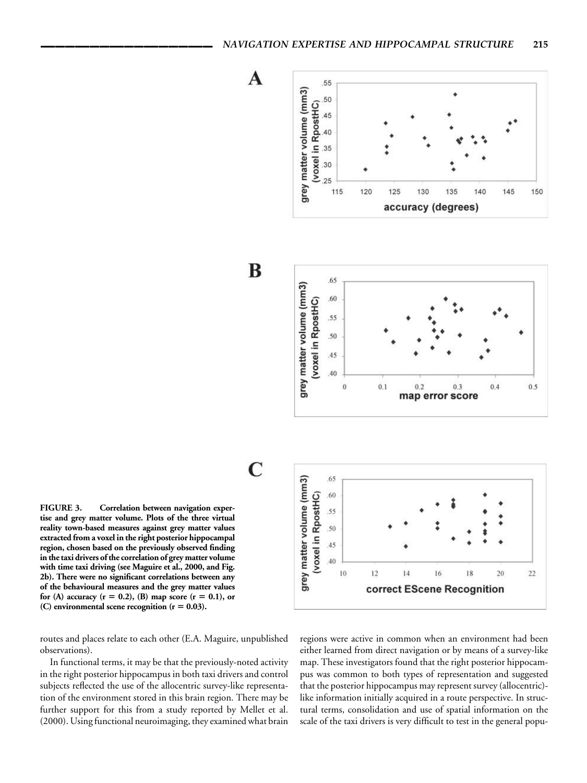



routes and places relate to each other (E.A. Maguire, unpublished observations).

In functional terms, it may be that the previously-noted activity in the right posterior hippocampus in both taxi drivers and control subjects reflected the use of the allocentric survey-like representation of the environment stored in this brain region. There may be further support for this from a study reported by Mellet et al. (2000). Using functional neuroimaging, they examined what brain

regions were active in common when an environment had been either learned from direct navigation or by means of a survey-like map. These investigators found that the right posterior hippocampus was common to both types of representation and suggested that the posterior hippocampus may represent survey (allocentric) like information initially acquired in a route perspective. In structural terms, consolidation and use of spatial information on the scale of the taxi drivers is very difficult to test in the general popu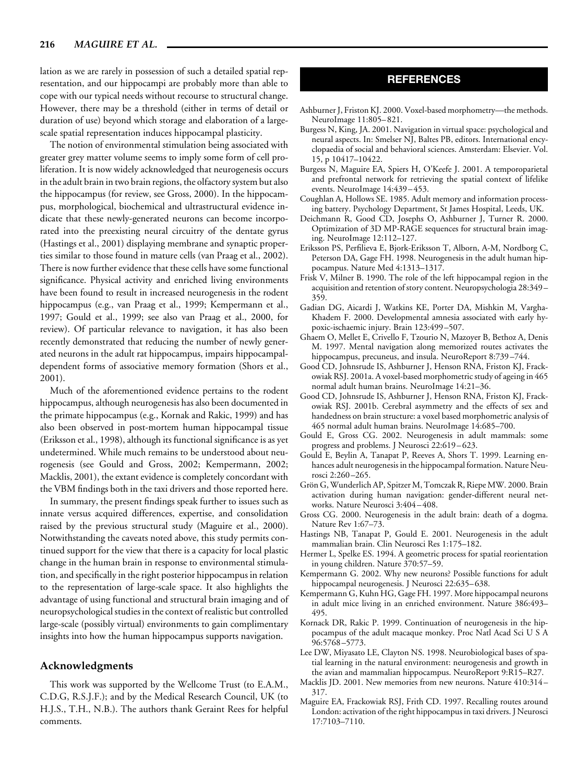lation as we are rarely in possession of such a detailed spatial representation, and our hippocampi are probably more than able to cope with our typical needs without recourse to structural change. However, there may be a threshold (either in terms of detail or duration of use) beyond which storage and elaboration of a largescale spatial representation induces hippocampal plasticity.

The notion of environmental stimulation being associated with greater grey matter volume seems to imply some form of cell proliferation. It is now widely acknowledged that neurogenesis occurs in the adult brain in two brain regions, the olfactory system but also the hippocampus (for review, see Gross, 2000). In the hippocampus, morphological, biochemical and ultrastructural evidence indicate that these newly-generated neurons can become incorporated into the preexisting neural circuitry of the dentate gyrus (Hastings et al., 2001) displaying membrane and synaptic properties similar to those found in mature cells (van Praag et al., 2002). There is now further evidence that these cells have some functional significance. Physical activity and enriched living environments have been found to result in increased neurogenesis in the rodent hippocampus (e.g., van Praag et al., 1999; Kempermann et al., 1997; Gould et al., 1999; see also van Praag et al., 2000, for review). Of particular relevance to navigation, it has also been recently demonstrated that reducing the number of newly generated neurons in the adult rat hippocampus, impairs hippocampaldependent forms of associative memory formation (Shors et al., 2001).

Much of the aforementioned evidence pertains to the rodent hippocampus, although neurogenesis has also been documented in the primate hippocampus (e.g., Kornak and Rakic, 1999) and has also been observed in post-mortem human hippocampal tissue (Eriksson et al., 1998), although its functional significance is as yet undetermined. While much remains to be understood about neurogenesis (see Gould and Gross, 2002; Kempermann, 2002; Macklis, 2001), the extant evidence is completely concordant with the VBM findings both in the taxi drivers and those reported here.

In summary, the present findings speak further to issues such as innate versus acquired differences, expertise, and consolidation raised by the previous structural study (Maguire et al., 2000). Notwithstanding the caveats noted above, this study permits continued support for the view that there is a capacity for local plastic change in the human brain in response to environmental stimulation, and specifically in the right posterior hippocampus in relation to the representation of large-scale space. It also highlights the advantage of using functional and structural brain imaging and of neuropsychological studies in the context of realistic but controlled large-scale (possibly virtual) environments to gain complimentary insights into how the human hippocampus supports navigation.

## **Acknowledgments**

This work was supported by the Wellcome Trust (to E.A.M., C.D.G, R.S.J.F.); and by the Medical Research Council, UK (to H.J.S., T.H., N.B.). The authors thank Geraint Rees for helpful comments.

## **REFERENCES**

- Ashburner J, Friston KJ. 2000. Voxel-based morphometry—the methods. NeuroImage 11:805– 821.
- Burgess N, King, JA. 2001. Navigation in virtual space: psychological and neural aspects. In: Smelser NJ, Baltes PB, editors. International encyclopaedia of social and behavioral sciences. Amsterdam: Elsevier. Vol. 15, p 10417–10422.
- Burgess N, Maguire EA, Spiers H, O'Keefe J. 2001. A temporoparietal and prefrontal network for retrieving the spatial context of lifelike events. NeuroImage 14:439 – 453.
- Coughlan A, Hollows SE. 1985. Adult memory and information processing battery. Psychology Department, St James Hospital, Leeds, UK.
- Deichmann R, Good CD, Josephs O, Ashburner J, Turner R. 2000. Optimization of 3D MP-RAGE sequences for structural brain imaging. NeuroImage 12:112–127.
- Eriksson PS, Perfilieva E, Bjork-Eriksson T, Alborn, A-M, Nordborg C, Peterson DA, Gage FH. 1998. Neurogenesis in the adult human hippocampus. Nature Med 4:1313–1317.
- Frisk V, Milner B. 1990. The role of the left hippocampal region in the acquisition and retention of story content. Neuropsychologia 28:349 – 359.
- Gadian DG, Aicardi J, Watkins KE, Porter DA, Mishkin M, Vargha-Khadem F. 2000. Developmental amnesia associated with early hypoxic-ischaemic injury. Brain 123:499 –507.
- Ghaem O, Mellet E, Crivello F, Tzourio N, Mazoyer B, Bethoz A, Denis M. 1997. Mental navigation along memorized routes activates the hippocampus, precuneus, and insula. NeuroReport 8:739-744.
- Good CD, Johnsrude IS, Ashburner J, Henson RNA, Friston KJ, Frackowiak RSJ. 2001a. A voxel-based morphometric study of ageing in 465 normal adult human brains. NeuroImage 14:21–36.
- Good CD, Johnsrude IS, Ashburner J, Henson RNA, Friston KJ, Frackowiak RSJ. 2001b. Cerebral asymmetry and the effects of sex and handedness on brain structure: a voxel based morphometric analysis of 465 normal adult human brains. NeuroImage 14:685–700.
- Gould E, Gross CG. 2002. Neurogenesis in adult mammals: some progress and problems. J Neurosci 22:619 – 623.
- Gould E, Beylin A, Tanapat P, Reeves A, Shors T. 1999. Learning enhances adult neurogenesis in the hippocampal formation. Nature Neurosci 2:260 –265.
- Grön G, Wunderlich AP, Spitzer M, Tomczak R, Riepe MW. 2000. Brain activation during human navigation: gender-different neural networks. Nature Neurosci 3:404 – 408.
- Gross CG. 2000. Neurogenesis in the adult brain: death of a dogma. Nature Rev 1:67–73.
- Hastings NB, Tanapat P, Gould E. 2001. Neurogenesis in the adult mammalian brain. Clin Neurosci Res 1:175–182.
- Hermer L, Spelke ES. 1994. A geometric process for spatial reorientation in young children. Nature 370:57–59.
- Kempermann G. 2002. Why new neurons? Possible functions for adult hippocampal neurogenesis. J Neurosci 22:635–638.
- Kempermann G, Kuhn HG, Gage FH. 1997. More hippocampal neurons in adult mice living in an enriched environment. Nature 386:493– 495.
- Kornack DR, Rakic P. 1999. Continuation of neurogenesis in the hippocampus of the adult macaque monkey. Proc Natl Acad Sci U S A 96:5768 –5773.
- Lee DW, Miyasato LE, Clayton NS. 1998. Neurobiological bases of spatial learning in the natural environment: neurogenesis and growth in the avian and mammalian hippocampus. NeuroReport 9:R15–R27.
- Macklis JD. 2001. New memories from new neurons. Nature 410:314 317.
- Maguire EA, Frackowiak RSJ, Frith CD. 1997. Recalling routes around London: activation of the right hippocampus in taxi drivers. J Neurosci 17:7103–7110.